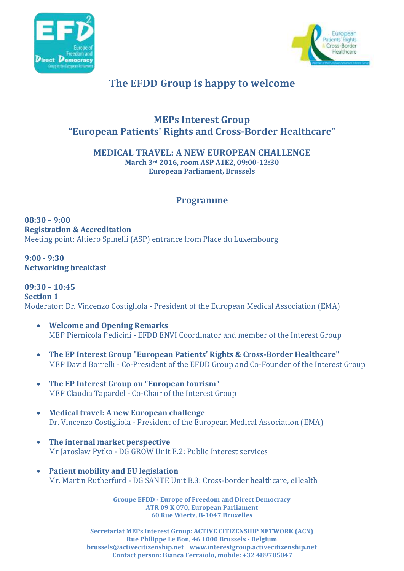



## **The EFDD Group is happy to welcome**

## **MEPs Interest Group "European Patients' Rights and Cross-Border Healthcare"**

**MEDICAL TRAVEL: A NEW EUROPEAN CHALLENGE**

**March 3rd 2016, room ASP A1E2, 09:00-12:30 European Parliament, Brussels**

## **Programme**

**08:30 – 9:00 Registration & Accreditation** Meeting point: Altiero Spinelli (ASP) entrance from Place du Luxembourg

**9:00 - 9:30 Networking breakfast**

**09:30 – 10:45 Section 1**  Moderator: Dr. Vincenzo Costigliola - President of the European Medical Association (EMA)

- **Welcome and Opening Remarks** MEP Piernicola Pedicini - EFDD ENVI Coordinator and member of the Interest Group
- **The EP Interest Group "European Patients' Rights & Cross-Border Healthcare"** MEP David Borrelli - Co-President of the EFDD Group and Co-Founder of the Interest Group
- **The EP Interest Group on "European tourism"** MEP Claudia Tapardel - Co-Chair of the Interest Group
- **Medical travel: A new European challenge** Dr. Vincenzo Costigliola - President of the European Medical Association (EMA)
- **The internal market perspective** Mr Jaroslaw Pytko - DG GROW Unit E.2: Public Interest services
- **Patient mobility and EU legislation** Mr. Martin Rutherfurd - DG SANTE Unit B.3: Cross-border healthcare, eHealth

**Groupe EFDD - Europe of Freedom and Direct Democracy ATR 09 K 070, European Parliament 60 Rue Wiertz, B-1047 Bruxelles**

**Secretariat MEPs Interest Group: ACTIVE CITIZENSHIP NETWORK (ACN) Rue Philippe Le Bon, 46 1000 Brussels - Belgium brussels@activecitizenship.net www.interestgroup.activecitizenship.net Contact person: Bianca Ferraiolo, mobile: +32 489705047**